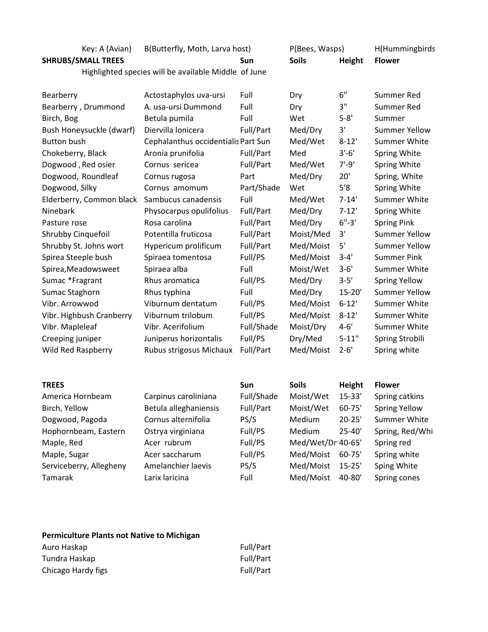| Key: A (Avian)                                       | B(Butterfly, Moth, Larva host)      |            | P(Bees, Wasps) |            | H(Hummingbirds       |  |
|------------------------------------------------------|-------------------------------------|------------|----------------|------------|----------------------|--|
| <b>SHRUBS/SMALL TREES</b>                            |                                     | <b>Sun</b> | <b>Soils</b>   | Height     | <b>Flower</b>        |  |
| Highlighted species will be available Middle of June |                                     |            |                |            |                      |  |
|                                                      |                                     | Full       |                | 6"         | Summer Red           |  |
| Bearberry                                            | Actostaphylos uva-ursi              |            | Dry            | 3"         |                      |  |
| Bearberry, Drummond                                  | A. usa-ursi Dummond                 | Full       | Dry            |            | <b>Summer Red</b>    |  |
| Birch, Bog                                           | Betula pumila                       | Full       | Wet            | $5 - 8'$   | Summer               |  |
| Bush Honeysuckle (dwarf)                             | Diervilla lonicera                  | Full/Part  | Med/Dry        | 3'         | <b>Summer Yellow</b> |  |
| <b>Button bush</b>                                   | Cephalanthus occidentialis Part Sun |            | Med/Wet        | $8 - 12'$  | <b>Summer White</b>  |  |
| Chokeberry, Black                                    | Aronia prunifolia                   | Full/Part  | Med            | $3'-6'$    | Spring White         |  |
| Dogwood, Red osier                                   | Cornus sericea                      | Full/Part  | Med/Wet        | $7' - 9'$  | Spring White         |  |
| Dogwood, Roundleaf                                   | Cornus rugosa                       | Part       | Med/Dry        | 20'        | Spring, White        |  |
| Dogwood, Silky                                       | Cornus amomum                       | Part/Shade | Wet            | 5'8        | Spring White         |  |
| Elderberry, Common black                             | Sambucus canadensis                 | Full       | Med/Wet        | $7 - 14'$  | <b>Summer White</b>  |  |
| Ninebark                                             | Physocarpus opulifolius             | Full/Part  | Med/Dry        | $7 - 12'$  | Spring White         |  |
| Pasture rose                                         | Rosa carolina                       | Full/Part  | Med/Dry        | $6" - 3"$  | <b>Spring Pink</b>   |  |
| Shrubby Cinquefoil                                   | Potentilla fruticosa                | Full/Part  | Moist/Med      | 3'         | <b>Summer Yellow</b> |  |
| Shrubby St. Johns wort                               | Hypericum prolificum                | Full/Part  | Med/Moist      | 5'         | <b>Summer Yellow</b> |  |
| Spirea Steeple bush                                  | Spiraea tomentosa                   | Full/PS    | Med/Moist      | $3 - 4'$   | <b>Summer Pink</b>   |  |
| Spirea, Meadowsweet                                  | Spiraea alba                        | Full       | Moist/Wet      | $3 - 6'$   | <b>Summer White</b>  |  |
| Sumac *Fragrant                                      | Rhus aromatica                      | Full/PS    | Med/Dry        | $3 - 5'$   | <b>Spring Yellow</b> |  |
| Sumac Staghorn                                       | Rhus typhina                        | Full       | Med/Dry        | $15 - 20'$ | <b>Summer Yellow</b> |  |
| Vibr. Arrowwod                                       | Viburnum dentatum                   | Full/PS    | Med/Moist      | $6 - 12'$  | Summer White         |  |
| Vibr. Highbush Cranberry                             | Viburnum trilobum                   | Full/PS    | Med/Moist      | $8 - 12'$  | Summer White         |  |
| Vibr. Mapleleaf                                      | Vibr. Acerifolium                   | Full/Shade | Moist/Dry      | $4 - 6'$   | <b>Summer White</b>  |  |
| Creeping juniper                                     | Juniperus horizontalis              | Full/PS    | Dry/Med        | $5 - 11"$  | Spring Strobili      |  |
| Wild Red Raspberry                                   | Rubus strigosus Michaux             | Full/Part  | Med/Moist      | $2 - 6'$   | Spring white         |  |
| <b>TREES</b>                                         |                                     | <b>Sun</b> | <b>Soils</b>   | Height     | <b>Flower</b>        |  |
| America Hornbeam                                     | Carpinus caroliniana                | Full/Shade | Moist/Wet      | $15 - 33'$ | Spring catkins       |  |
| Birch, Yellow                                        | Betula alleghaniensis               | Full/Part  | Moist/Wet      | 60-75'     | <b>Spring Yellow</b> |  |

| -----------             |                     | .       |                   |            | 50111515151     |
|-------------------------|---------------------|---------|-------------------|------------|-----------------|
| Dogwood, Pagoda         | Cornus alternifolia | PS/S    | Medium            | $20 - 25'$ | Summer White    |
| Hophornbeam, Eastern    | Ostrya virginiana   | Full/PS | Medium            | $25 - 40'$ | Spring, Red/Whi |
| Maple, Red              | Acer rubrum         | Full/PS | Med/Wet/Dr 40-65' |            | Spring red      |
| Maple, Sugar            | Acer saccharum      | Full/PS | Med/Moist         | $60 - 75'$ | Spring white    |
| Serviceberry, Allegheny | Amelanchier laevis  | PS/S    | Med/Moist         | $15 - 25'$ | Sping White     |
| Tamarak                 | Larix laricina      | Full    | Med/Moist         | 40-80'     | Spring cones    |
|                         |                     |         |                   |            |                 |
|                         |                     |         |                   |            |                 |

| Full/Part |
|-----------|
| Full/Part |
| Full/Part |
|           |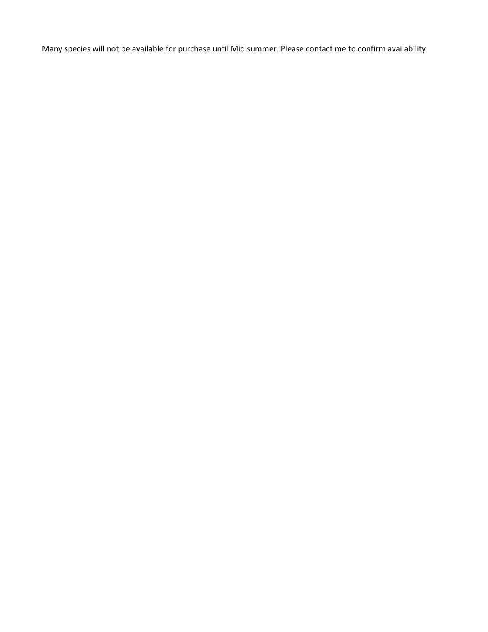Many species will not be available for purchase until Mid summer. Please contact me to confirm availability